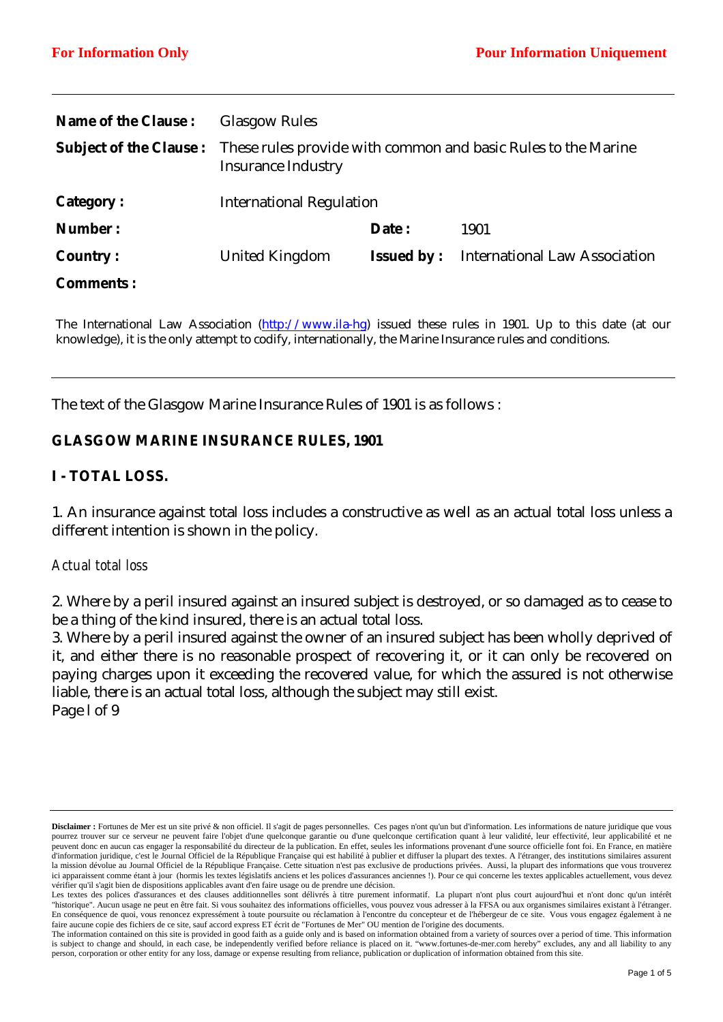| <b>Name of the Clause:</b> | <b>Glasgow Rules</b>                                                                                                     |                    |                                      |
|----------------------------|--------------------------------------------------------------------------------------------------------------------------|--------------------|--------------------------------------|
|                            | <b>Subject of the Clause:</b> These rules provide with common and basic Rules to the Marine<br><b>Insurance Industry</b> |                    |                                      |
| <b>Category:</b>           | <b>International Regulation</b>                                                                                          |                    |                                      |
| Number:                    |                                                                                                                          | Date:              | 1901                                 |
| <b>Country:</b>            | <b>United Kingdom</b>                                                                                                    | <b>Issued by :</b> | <b>International Law Association</b> |
| <b>Comments:</b>           |                                                                                                                          |                    |                                      |

The International Law Association (http://www.ila-hg) issued these rules in 1901. Up to this date (at our knowledge), it is the only attempt to codify, internationally, the Marine Insurance rules and conditions.

The text of the Glasgow Marine Insurance Rules of 1901 is as follows :

#### **GLASGOW MARINE INSURANCE RULES, 1901**

#### **I - TOTAL LOSS.**

1. An insurance against total loss includes a constructive as well as an actual total loss unless a different intention is shown in the policy.

#### *Actual total loss*

2. Where by a peril insured against an insured subject is destroyed, or so damaged as to cease to be a thing of the kind insured, there is an actual total loss.

3. Where by a peril insured against the owner of an insured subject has been wholly deprived of it, and either there is no reasonable prospect of recovering it, or it can only be recovered on paying charges upon it exceeding the recovered value, for which the assured is not otherwise liable, there is an actual total loss, although the subject may still exist. Page l of 9

**Disclaimer :** Fortunes de Mer est un site privé & non officiel. Il s'agit de pages personnelles. Ces pages n'ont qu'un but d'information. Les informations de nature juridique que vous pourrez trouver sur ce serveur ne peuvent faire l'objet d'une quelconque garantie ou d'une quelconque certification quant à leur validité, leur effectivité, leur applicabilité et ne peuvent donc en aucun cas engager la responsabilité du directeur de la publication. En effet, seules les informations provenant d'une source officielle font foi. En France, en matière d'information juridique, c'est le Journal Officiel de la République Française qui est habilité à publier et diffuser la plupart des textes. A l'étranger, des institutions similaires assurent la mission dévolue au Journal Officiel de la République Française. Cette situation n'est pas exclusive de productions privées. Aussi, la plupart des informations que vous trouverez ici apparaissent comme étant à jour (hormis les textes législatifs anciens et les polices d'assurances anciennes !). Pour ce qui concerne les textes applicables actuellement, vous devez vérifier qu'il s'agit bien de dispositions applicables avant d'en faire usage ou de prendre une décision.

Les textes des polices d'assurances et des clauses additionnelles sont délivrés à titre purement informatif. La plupart n'ont plus court aujourd'hui et n'ont donc qu'un intérêt "historique". Aucun usage ne peut en être fait. Si vous souhaitez des informations officielles, vous pouvez vous adresser à la FFSA ou aux organismes similaires existant à l'étranger. En conséquence de quoi, vous renoncez expressément à toute poursuite ou réclamation à l'encontre du concepteur et de l'hébergeur de ce site. Vous vous engagez également à ne faire aucune copie des fichiers de ce site, sauf accord express ET écrit de "Fortunes de Mer" OU mention de l'origine des documents.

The information contained on this site is provided in good faith as a guide only and is based on information obtained from a variety of sources over a period of time. This information is subject to change and should, in each case, be independently verified before reliance is placed on it. "www.fortunes-de-mer.com hereby" excludes, any and all liability to any person, corporation or other entity for any loss, damage or expense resulting from reliance, publication or duplication of information obtained from this site.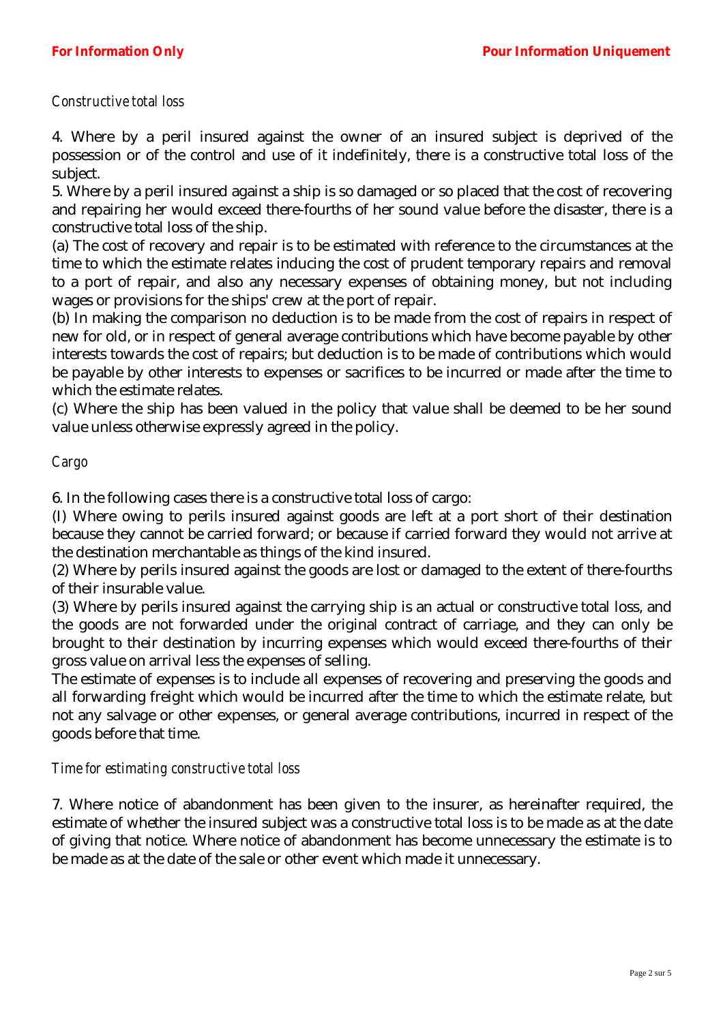### *Constructive total loss*

4. Where by a peril insured against the owner of an insured subject is deprived of the possession or of the control and use of it indefinitely, there is a constructive total loss of the subject.

5. Where by a peril insured against a ship is so damaged or so placed that the cost of recovering and repairing her would exceed there-fourths of her sound value before the disaster, there is a constructive total loss of the ship.

(a) The cost of recovery and repair is to be estimated with reference to the circumstances at the time to which the estimate relates inducing the cost of prudent temporary repairs and removal to a port of repair, and also any necessary expenses of obtaining money, but not including wages or provisions for the ships' crew at the port of repair.

(b) In making the comparison no deduction is to be made from the cost of repairs in respect of new for old, or in respect of general average contributions which have become payable by other interests towards the cost of repairs; but deduction is to be made of contributions which would be payable by other interests to expenses or sacrifices to be incurred or made after the time to which the estimate relates.

(c) Where the ship has been valued in the policy that value shall be deemed to be her sound value unless otherwise expressly agreed in the policy.

#### *Cargo*

6. In the following cases there is a constructive total loss of cargo:

(I) Where owing to perils insured against goods are left at a port short of their destination because they cannot be carried forward; or because if carried forward they would not arrive at the destination merchantable as things of the kind insured.

(2) Where by perils insured against the goods are lost or damaged to the extent of there-fourths of their insurable value.

(3) Where by perils insured against the carrying ship is an actual or constructive total loss, and the goods are not forwarded under the original contract of carriage, and they can only be brought to their destination by incurring expenses which would exceed there-fourths of their gross value on arrival less the expenses of selling.

The estimate of expenses is to include all expenses of recovering and preserving the goods and all forwarding freight which would be incurred after the time to which the estimate relate, but not any salvage or other expenses, or general average contributions, incurred in respect of the goods before that time.

#### *Time for estimating constructive total loss*

7. Where notice of abandonment has been given to the insurer, as hereinafter required, the estimate of whether the insured subject was a constructive total loss is to be made as at the date of giving that notice. Where notice of abandonment has become unnecessary the estimate is to be made as at the date of the sale or other event which made it unnecessary.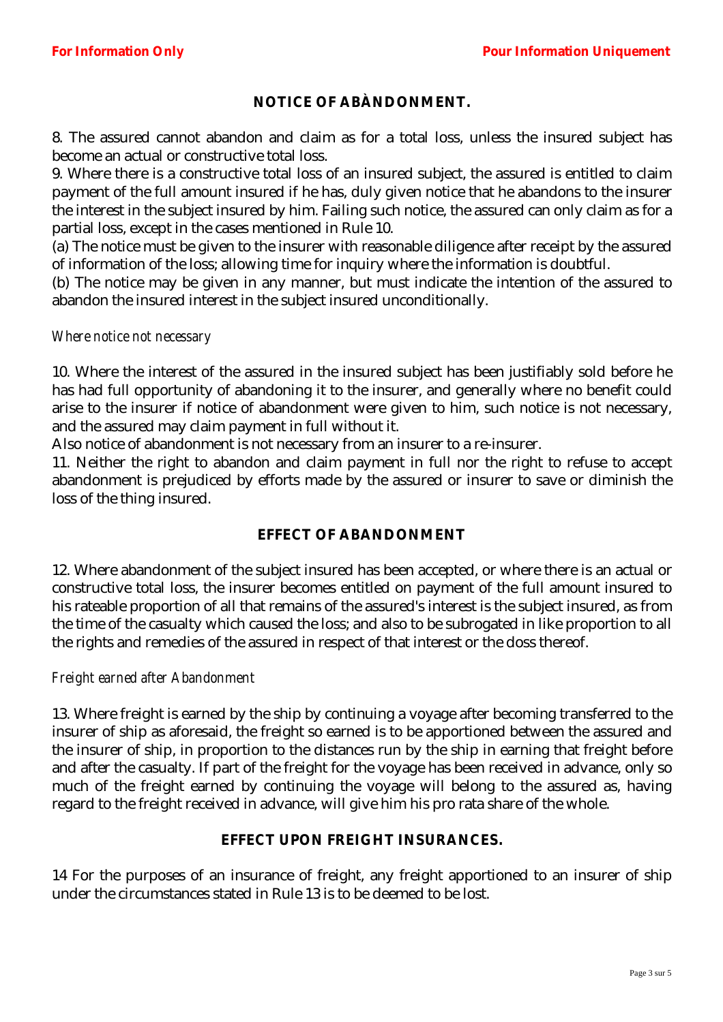# **NOTICE OF ABÀNDONMENT.**

8. The assured cannot abandon and claim as for a total loss, unless the insured subject has become an actual or constructive total loss.

9. Where there is a constructive total loss of an insured subject, the assured is entitled to claim payment of the full amount insured if he has, duly given notice that he abandons to the insurer the interest in the subject insured by him. Failing such notice, the assured can only claim as for a partial loss, except in the cases mentioned in Rule 10.

(a) The notice must be given to the insurer with reasonable diligence after receipt by the assured of information of the loss; allowing time for inquiry where the information is doubtful.

(b) The notice may be given in any manner, but must indicate the intention of the assured to abandon the insured interest in the subject insured unconditionally.

*Where notice not necessary* 

10. Where the interest of the assured in the insured subject has been justifiably sold before he has had full opportunity of abandoning it to the insurer, and generally where no benefit could arise to the insurer if notice of abandonment were given to him, such notice is not necessary, and the assured may claim payment in full without it.

Also notice of abandonment is not necessary from an insurer to a re-insurer.

11. Neither the right to abandon and claim payment in full nor the right to refuse to accept abandonment is prejudiced by efforts made by the assured or insurer to save or diminish the loss of the thing insured.

## **EFFECT OF ABANDONMENT**

12. Where abandonment of the subject insured has been accepted, or where there is an actual or constructive total loss, the insurer becomes entitled on payment of the full amount insured to his rateable proportion of all that remains of the assured's interest is the subject insured, as from the time of the casualty which caused the loss; and also to be subrogated in like proportion to all the rights and remedies of the assured in respect of that interest or the doss thereof.

#### *Freight earned after Abandonment*

13. Where freight is earned by the ship by continuing a voyage after becoming transferred to the insurer of ship as aforesaid, the freight so earned is to be apportioned between the assured and the insurer of ship, in proportion to the distances run by the ship in earning that freight before and after the casualty. If part of the freight for the voyage has been received in advance, only so much of the freight earned by continuing the voyage will belong to the assured as, having regard to the freight received in advance, will give him his pro rata share of the whole.

#### **EFFECT UPON FREIGHT INSURANCES.**

14 For the purposes of an insurance of freight, any freight apportioned to an insurer of ship under the circumstances stated in Rule 13 is to be deemed to be lost.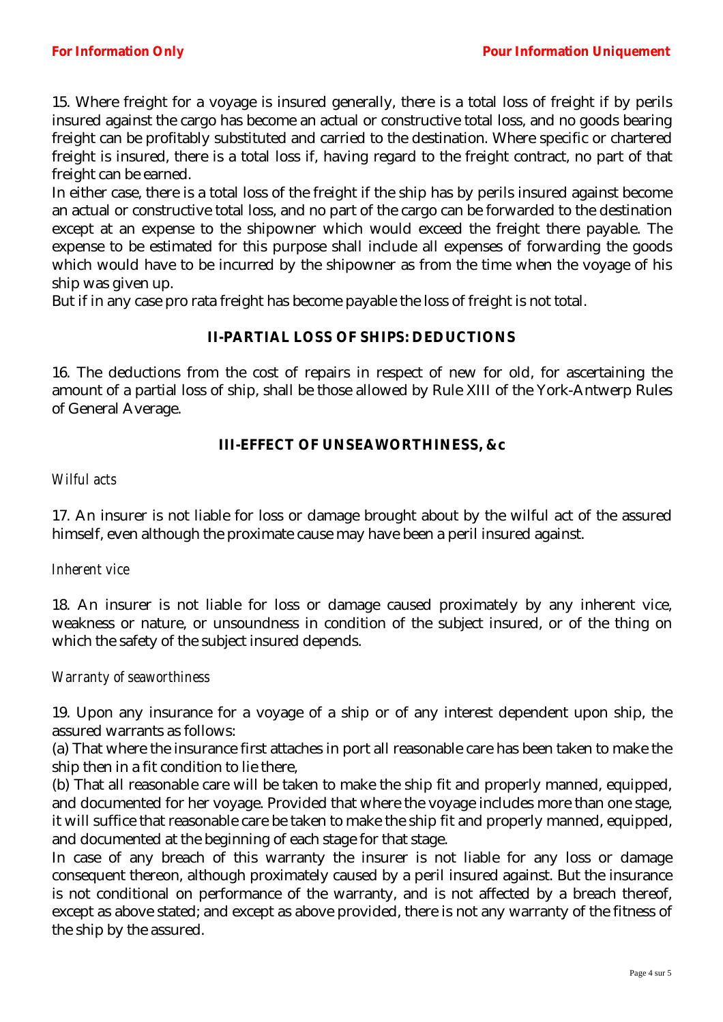15. Where freight for a voyage is insured generally, there is a total loss of freight if by perils insured against the cargo has become an actual or constructive total loss, and no goods bearing freight can be profitably substituted and carried to the destination. Where specific or chartered freight is insured, there is a total loss if, having regard to the freight contract, no part of that freight can be earned.

In either case, there is a total loss of the freight if the ship has by perils insured against become an actual or constructive total loss, and no part of the cargo can be forwarded to the destination except at an expense to the shipowner which would exceed the freight there payable. The expense to be estimated for this purpose shall include all expenses of forwarding the goods which would have to be incurred by the shipowner as from the time when the voyage of his ship was given up.

But if in any case pro rata freight has become payable the loss of freight is not total.

## **II-PARTIAL LOSS OF SHIPS: DEDUCTIONS**

16. The deductions from the cost of repairs in respect of new for old, for ascertaining the amount of a partial loss of ship, shall be those allowed by Rule XIII of the York-Antwerp Rules of General Average.

### **III-EFFECT OF UNSEAWORTHINESS, &c**

#### *Wilful acts*

17. An insurer is not liable for loss or damage brought about by the wilful act of the assured himself, even although the proximate cause may have been a peril insured against.

#### *Inherent vice*

18. An insurer is not liable for loss or damage caused proximately by any inherent vice, weakness or nature, or unsoundness in condition of the subject insured, or of the thing on which the safety of the subject insured depends.

#### *Warranty of seaworthiness*

19. Upon any insurance for a voyage of a ship or of any interest dependent upon ship, the assured warrants as follows:

(a) That where the insurance first attaches in port all reasonable care has been taken to make the ship then in a fit condition to lie there,

(b) That all reasonable care will be taken to make the ship fit and properly manned, equipped, and documented for her voyage. Provided that where the voyage includes more than one stage, it will suffice that reasonable care be taken to make the ship fit and properly manned, equipped, and documented at the beginning of each stage for that stage.

In case of any breach of this warranty the insurer is not liable for any loss or damage consequent thereon, although proximately caused by a peril insured against. But the insurance is not conditional on performance of the warranty, and is not affected by a breach thereof, except as above stated; and except as above provided, there is not any warranty of the fitness of the ship by the assured.